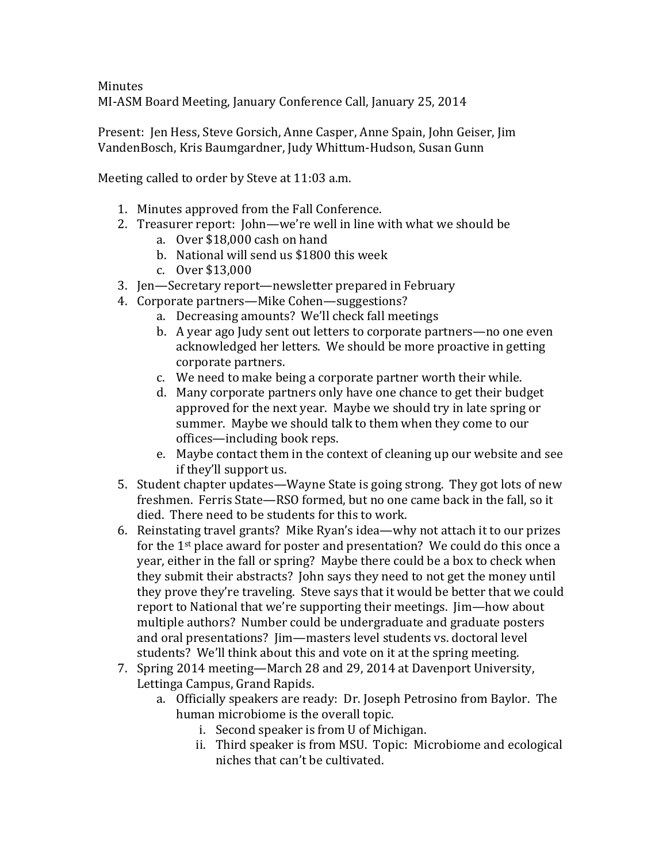**Minutes** MI-ASM Board Meeting, January Conference Call, January 25, 2014

Present: Ien Hess, Steve Gorsich, Anne Casper, Anne Spain, John Geiser, Jim VandenBosch, Kris Baumgardner, Judy Whittum-Hudson, Susan Gunn

Meeting called to order by Steve at 11:03 a.m.

- 1. Minutes approved from the Fall Conference.
- 2. Treasurer report: John—we're well in line with what we should be
	- a. Over \$18,000 cash on hand
	- b. National will send us \$1800 this week
	- c. Over \$13,000
- 3. Jen—Secretary report—newsletter prepared in February
- 4. Corporate partners—Mike Cohen—suggestions?
	- a. Decreasing amounts? We'll check fall meetings
	- b. A year ago Judy sent out letters to corporate partners—no one even acknowledged her letters. We should be more proactive in getting corporate partners.
	- c. We need to make being a corporate partner worth their while.
	- d. Many corporate partners only have one chance to get their budget approved for the next year. Maybe we should try in late spring or summer. Maybe we should talk to them when they come to our offices—including book reps.
	- e. Maybe contact them in the context of cleaning up our website and see if they'll support us.
- 5. Student chapter updates—Wayne State is going strong. They got lots of new freshmen. Ferris State-RSO formed, but no one came back in the fall, so it died. There need to be students for this to work.
- 6. Reinstating travel grants? Mike Ryan's idea—why not attach it to our prizes for the  $1<sup>st</sup>$  place award for poster and presentation? We could do this once a year, either in the fall or spring? Maybe there could be a box to check when they submit their abstracts? John says they need to not get the money until they prove they're traveling. Steve says that it would be better that we could report to National that we're supporting their meetings. Jim—how about multiple authors? Number could be undergraduate and graduate posters and oral presentations? Iim—masters level students vs. doctoral level students? We'll think about this and vote on it at the spring meeting.
- 7. Spring 2014 meeting—March 28 and 29, 2014 at Davenport University, Lettinga Campus, Grand Rapids.
	- a. Officially speakers are ready: Dr. Joseph Petrosino from Baylor. The human microbiome is the overall topic.
		- i. Second speaker is from U of Michigan.
		- ii. Third speaker is from MSU. Topic: Microbiome and ecological niches that can't be cultivated.